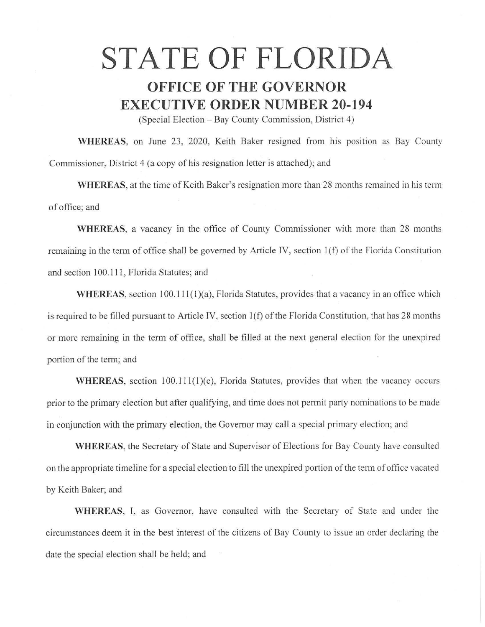## **STATE OF FLORIDA**

## **OFFICE OF THE GOVERNOR EXECUTIVE ORDER NUMBER 20-194**

(Special Election - Bay County Commission, District 4)

**WHEREAS,** on June 23, 2020, Keith Baker resigned from his position as Bay County Commissioner, District 4 (a copy of his resignation letter is attached); and

**WHEREAS,** at the time of Keith Baker's resignation more than 28 months remained in his term of office; and

**WHEREAS,** a vacancy in the office of County Commissioner with more than 28 months remaining in the term of office shall be governed by Article IV, section 1(f) of the Florida Constitution and section 100.111, Florida Statutes; and

**WHEREAS**, section 100.111(1)(a), Florida Statutes, provides that a vacancy in an office which is required to be filled pursuant to Article IV, section 1(f) of the Florida Constitution, that has 28 months or more remaining in the term of office, shall be filled at the next general election for the unexpired portion of the term; and

WHEREAS, section 100.111(1)(c), Florida Statutes, provides that when the vacancy occurs prior to the primary election but after qualifying, and time does not permit party nominations to be made in conjunction with the primary election, the Governor may call a special primary election; and

**WHEREAS,** the Secretary of State and Supervisor of Elections for Bay County have consulted on the appropriate timeline for a special election to fill the unexpired portion of the term of office vacated by Keith Baker; and

**WHEREAS,** I, as Governor, have consulted with the Secretary of State and under the circumstances deem it in the best interest of the citizens of Bay County to issue an order declaring the date the special election shall be held; and